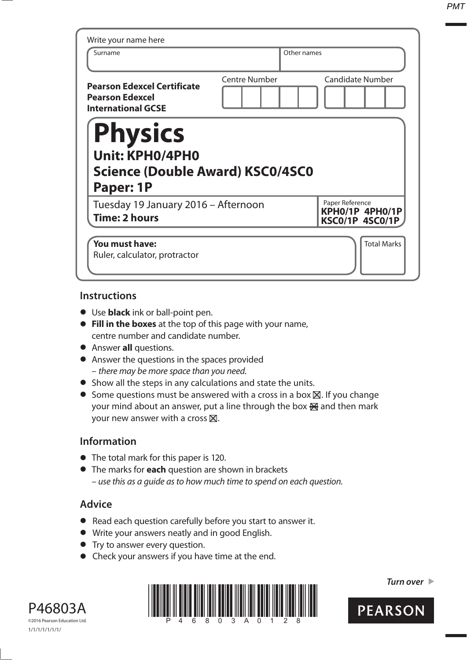| Write your name here<br>Surname                                                           | Other names          |                                                       |
|-------------------------------------------------------------------------------------------|----------------------|-------------------------------------------------------|
| <b>Pearson Edexcel Certificate</b><br><b>Pearson Edexcel</b><br><b>International GCSE</b> | <b>Centre Number</b> | <b>Candidate Number</b>                               |
|                                                                                           |                      |                                                       |
| <b>Physics</b><br><b>Unit: KPH0/4PH0</b><br>Science (Double Award) KSC0/4SC0<br>Paper: 1P |                      |                                                       |
| Tuesday 19 January 2016 - Afternoon<br><b>Time: 2 hours</b>                               |                      | Paper Reference<br>KPH0/1P 4PH0/1P<br>KSC0/1P 4SC0/1P |

### **Instructions**

- **•** Use **black** ink or ball-point pen.
- **• Fill in the boxes** at the top of this page with your name, centre number and candidate number.
- **•** Answer **all** questions.
- **•** Answer the questions in the spaces provided – there may be more space than you need.
- **•** Show all the steps in any calculations and state the units.
- Some questions must be answered with a cross in a box  $\boxtimes$ . If you change your mind about an answer, put a line through the box  $\mathbb{R}$  and then mark your new answer with a cross  $\boxtimes$ .

# **Information**

- **•** The total mark for this paper is 120.
- **•** The marks for **each** question are shown in brackets – use this as a guide as to how much time to spend on each question.

# **Advice**

- **•** Read each question carefully before you start to answer it.
- Read each question carefully before you start t<br>• Write your answers neatly and in good English. • Write your answers neatly and in good English.<br>• Try to answer every question.
- 
- **•** Check your answers if you have time at the end.





*Turn over* 

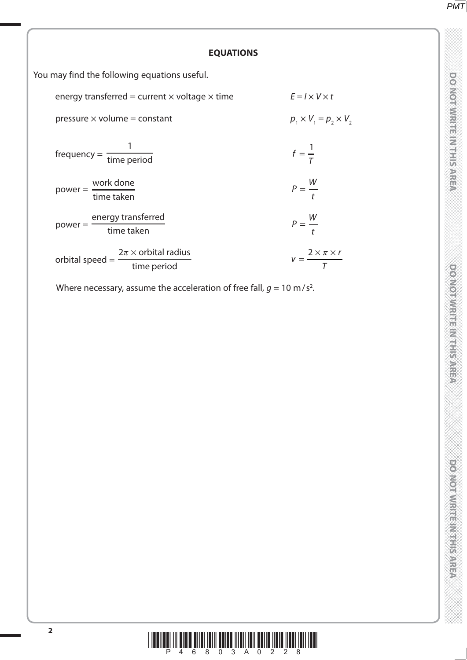**TO NOT WRITE IN THE IN THIS AREA DO NOT WRITE IN THIS AREA DO NOT WRITE IN THIS AREA DO NOT WRITE IN THIS AREA DO NOT WRITE IN THE INTERNATIONAL CONTINUES. THE INTERNATIONAL CONTINUES IN THE INTERNATIONAL CONTINUES.** 

**DOMOTIVISTICITY IS AREA** 

**DO NOTIVISTIC MITTERS** 

#### **EQUATIONS**

You may find the following equations useful.

| energy transferred = current $\times$ voltage $\times$ time      | $E = I \times V \times t$             |
|------------------------------------------------------------------|---------------------------------------|
| pressure $\times$ volume = constant                              | $p_1 \times V_1 = p_2 \times V_2$     |
| $frequency = \frac{1}{time period}$                              | $f=\frac{1}{\tau}$                    |
| $power = \frac{work \, done}{time \, taken}$                     | $P = \frac{W}{t}$                     |
| energy transferred<br>$power =$<br>time taken                    | $P = \frac{W}{t}$                     |
| $2\pi \times$ orbital radius<br>orbital speed $=$<br>time period | $v = \frac{2 \times \pi \times r}{T}$ |

Where necessary, assume the acceleration of free fall,  $g = 10 \text{ m/s}^2$ .

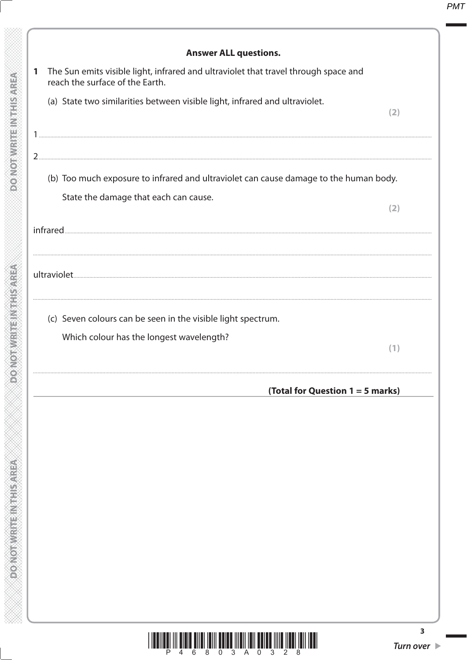|                | <b>Answer ALL questions.</b>                                                                                           |
|----------------|------------------------------------------------------------------------------------------------------------------------|
| 1              | The Sun emits visible light, infrared and ultraviolet that travel through space and<br>reach the surface of the Earth. |
|                | (a) State two similarities between visible light, infrared and ultraviolet.<br>(2)                                     |
|                |                                                                                                                        |
| 2 <sub>1</sub> |                                                                                                                        |
|                | (b) Too much exposure to infrared and ultraviolet can cause damage to the human body.                                  |
|                | State the damage that each can cause.<br>(2)                                                                           |
|                |                                                                                                                        |
|                |                                                                                                                        |
|                |                                                                                                                        |
|                |                                                                                                                        |
|                | (c) Seven colours can be seen in the visible light spectrum.                                                           |
|                | Which colour has the longest wavelength?                                                                               |
|                | (1)                                                                                                                    |
|                | (Total for Question 1 = 5 marks)                                                                                       |
|                |                                                                                                                        |
|                |                                                                                                                        |
|                |                                                                                                                        |
|                |                                                                                                                        |
|                |                                                                                                                        |

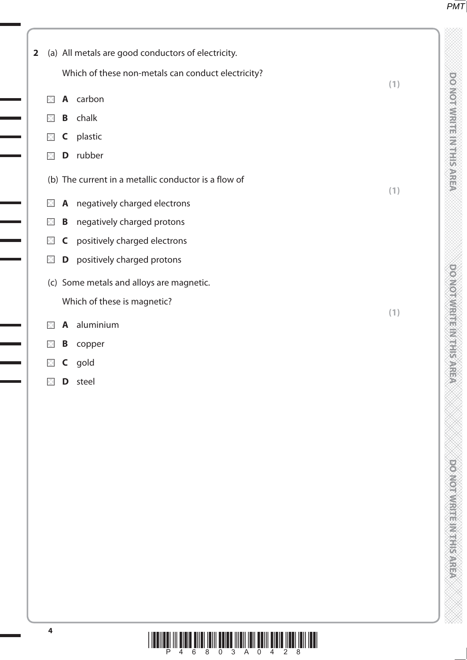DO NOT WRITE IN THIS AREA

**TO NOT WRITE IN THE IN THIS AREA DO NOT WRITE IN THIS AREA DO NOT WRITE IN THIS AREA DO NOT WRITE IN THIS AREA DO NOT WRITE IN THE INTERNATIONAL CONTINUES. THE INTERNATIONAL CONTINUES IN THE INTERNATIONAL CONTINUES.** 

DOCKWATHEINTHIS AREA

| $\mathbf{2}$ |          |              | (a) All metals are good conductors of electricity.   |     |
|--------------|----------|--------------|------------------------------------------------------|-----|
|              |          |              | Which of these non-metals can conduct electricity?   |     |
|              | ×        |              | A carbon                                             | (1) |
|              | ×        | B            | chalk                                                |     |
|              | ×        | C            | plastic                                              |     |
|              | ×        | D            | rubber                                               |     |
|              |          |              | (b) The current in a metallic conductor is a flow of | (1) |
|              | $\times$ |              | A negatively charged electrons                       |     |
|              | $\times$ | B            | negatively charged protons                           |     |
|              | $\times$ | $\mathsf{C}$ | positively charged electrons                         |     |
|              | $\times$ | D            | positively charged protons                           |     |
|              |          |              | (c) Some metals and alloys are magnetic.             |     |
|              |          |              | Which of these is magnetic?                          |     |
|              | $\times$ | $\mathsf{A}$ | aluminium                                            | (1) |
|              | $\times$ | B            | copper                                               |     |
|              | M        | C            | gold                                                 |     |
|              | ×        |              | <b>D</b> steel                                       |     |

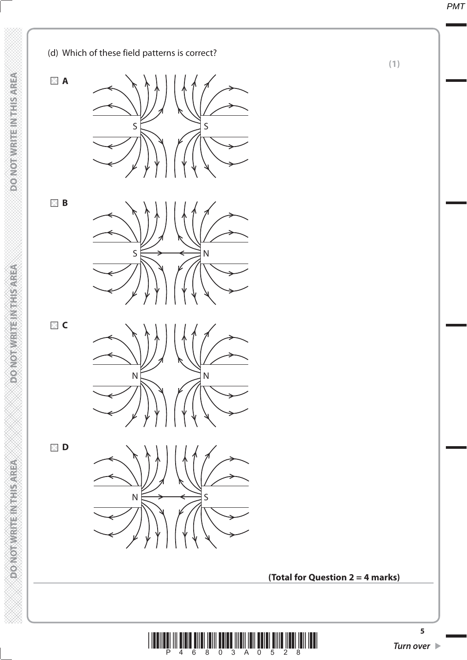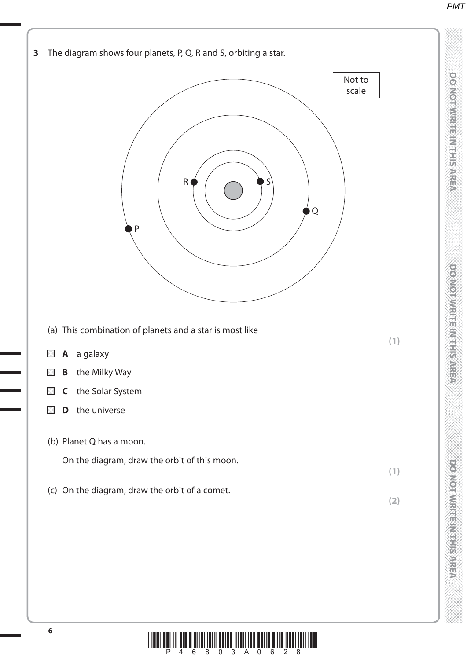DO NOT WRITE IN THIS AREA

**TO NOT WRITE IN THE IN THIS AREA DO NOT WRITE IN THIS AREA DO NOT WRITE IN THIS AREA DO NOT WRITE IN THIS AREA DO NOT WRITE IN THE INTERNATIONAL CONTINUES. THE INTERNATIONAL CONTINUES IN THE INTERNATIONAL CONTINUES.** 

**DONOTWIRE MARKERS** 



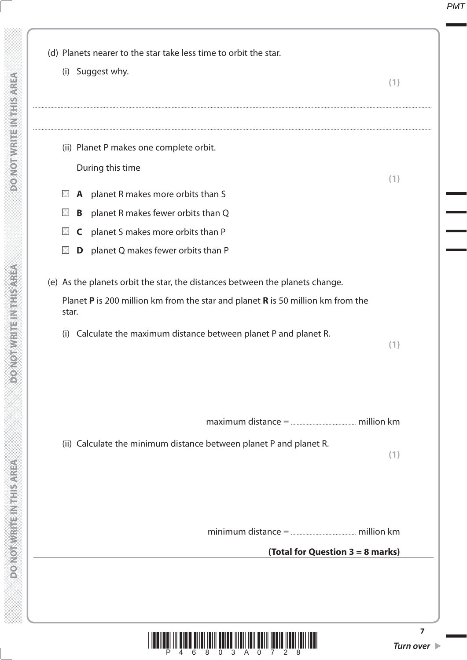

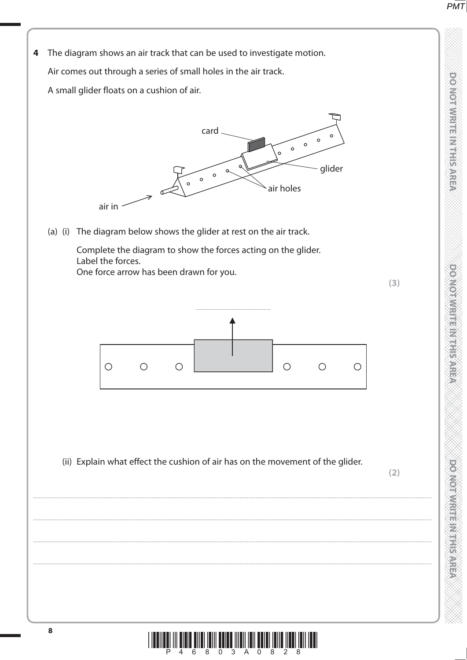

**DO NOT WRITE IN THIS AREA** 

**DOMORATION IS AN EXPERIENCE** 

**CONCRETE MARKET DESCRIPTION** 

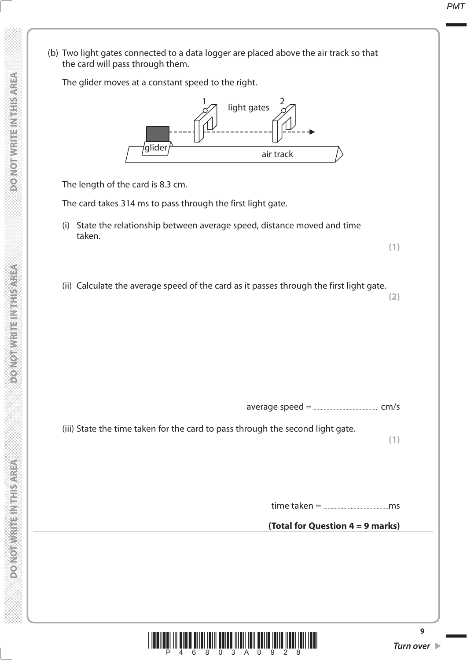(b) Two light gates connected to a data logger are placed above the air track so that the card will pass through them. The glider moves at a constant speed to the right. The length of the card is 8.3 cm. The card takes 314 ms to pass through the first light gate. (i) State the relationship between average speed, distance moved and time taken. **(1)** (ii) Calculate the average speed of the card as it passes through the first light gate. **(2)** average speed = ............................................. cm/s (iii) State the time taken for the card to pass through the second light gate. **(1)** time taken = .............................................ms **(Total for Question 4 = 9 marks)** light gates glider air track galider and the same of the same of the same same same same said that the same same same said  $1\sigma$  light notes 2



**9**

**MONOGRAPH DESCRIPTION AND AREA**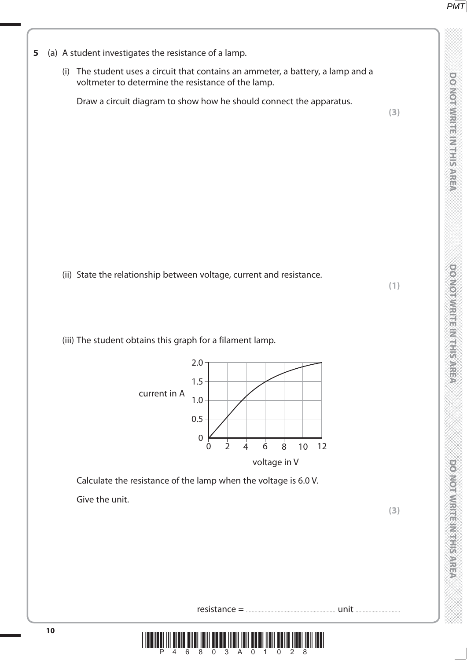**TO NOT WRITE IN THE IN THIS AREA DO NOT WRITE IN THIS AREA DO NOT WRITE IN THIS AREA DO NOT WRITE IN THIS AREA DO NOT WRITE IN THE INTERNATIONAL CONTINUES. THE INTERNATIONAL CONTINUES IN THE INTERNATIONAL CONTINUES.** 

**DO NORMALLE IN THE METAL** 

**DO NOT WRITE IN THIS AREA** 

## **5** (a) A student investigates the resistance of a lamp.

 (i) The student uses a circuit that contains an ammeter, a battery, a lamp and a voltmeter to determine the resistance of the lamp.

Draw a circuit diagram to show how he should connect the apparatus.

**(3)**

**(1)**

(ii) State the relationship between voltage, current and resistance.

(iii) The student obtains this graph for a filament lamp.



Calculate the resistance of the lamp when the voltage is 6.0 V.

Give the unit.



resistance = .............................................................. unit ...............................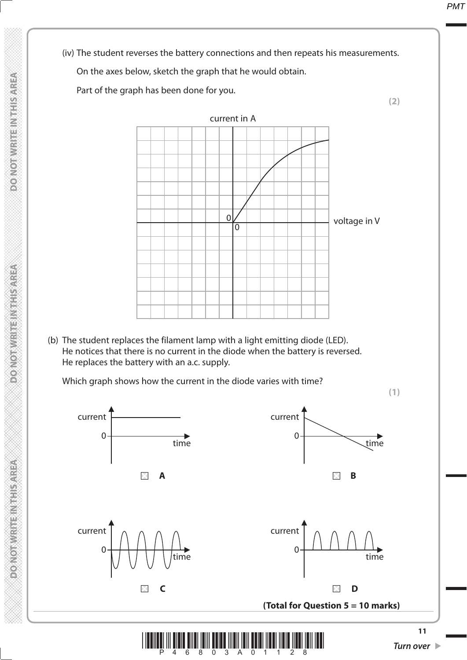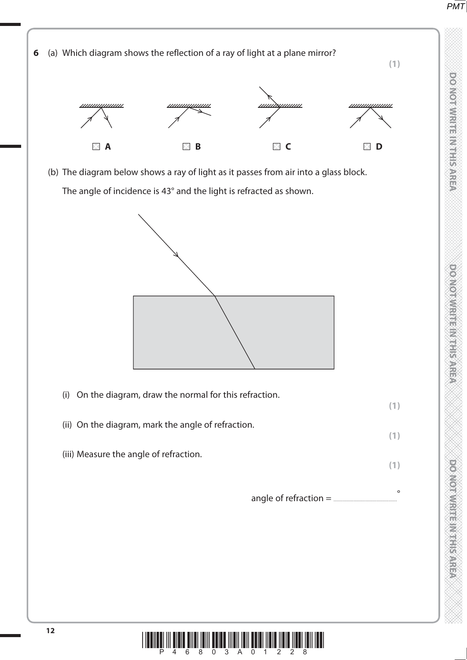DO NOTWRITE INTHIS AREA

**TO NOT WRITE IN THE IN THIS AREA DO NOT WRITE IN THIS AREA DO NOT WRITE IN THIS AREA DO NOT WRITE IN THIS AREA DO NOT WRITE IN THE INTERNATIONAL CONTINUES. THE INTERNATIONAL CONTINUES IN THE INTERNATIONAL CONTINUES.** 

**DOOMOTAWRITEIN THE SAREA** 

**DO NOTWRITE MYTHIS AREA** 



(b) The diagram below shows a ray of light as it passes from air into a glass block.

The angle of incidence is 43° and the light is refracted as shown.



| (i) On the diagram, draw the normal for this refraction. |  |
|----------------------------------------------------------|--|
| (ii) On the diagram, mark the angle of refraction.       |  |
| (iii) Measure the angle of refraction.                   |  |

angle of refraction = ............................................ °

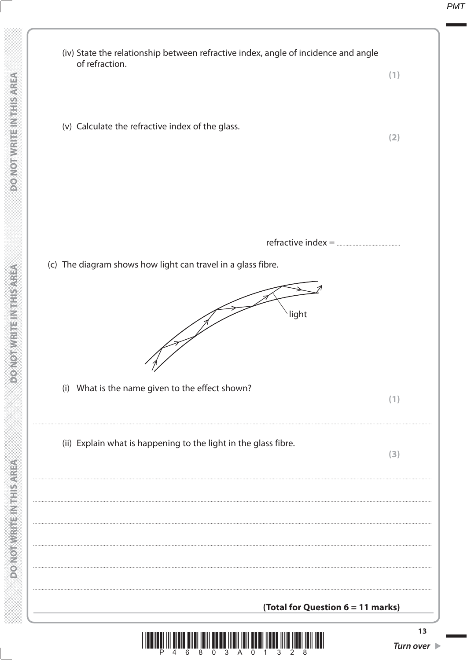

**DONOIS NEW ENDER** 

**FOR SHARITAN CONTROLLER**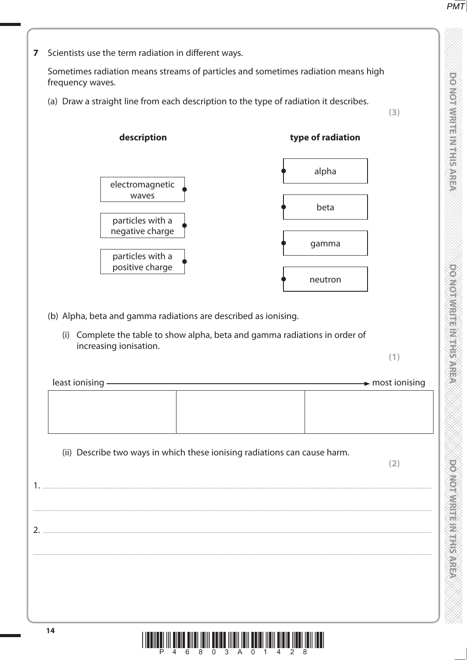

**DO NOTWRITE INTERNATION** 

**TO NOT WRITE IN THE IN THIS AREA DO NOT WRITE IN THIS AREA DO NOT WRITE IN THIS AREA DO NOT WRITE IN THIS AREA DO NOT WRITE IN THE INTERNATIONAL CONTINUES. THE INTERNATIONAL CONTINUES IN THE INTERNATIONAL CONTINUES.** 

**DO NOT MRITE IN THIS AREA** 

**MONODIAN ENGINEERING** 

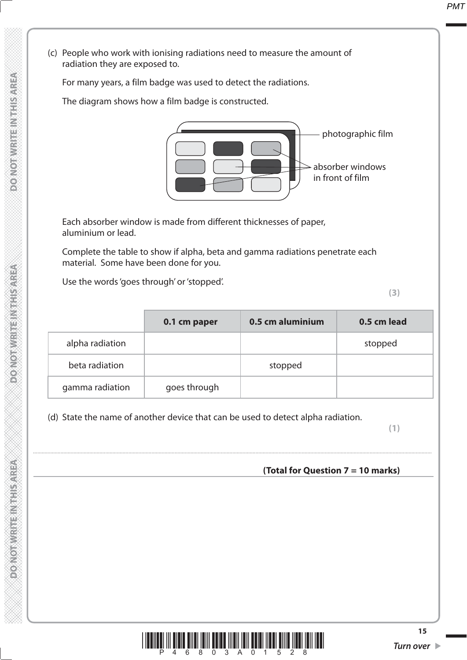(c) People who work with ionising radiations need to measure the amount of radiation they are exposed to.

For many years, a film badge was used to detect the radiations.

The diagram shows how a film badge is constructed.



 Each absorber window is made from different thicknesses of paper, aluminium or lead.

 Complete the table to show if alpha, beta and gamma radiations penetrate each material. Some have been done for you.

Use the words 'goes through' or 'stopped'.

**(3)**

|                 | 0.1 cm paper | 0.5 cm aluminium | 0.5 cm lead |
|-----------------|--------------|------------------|-------------|
| alpha radiation |              |                  | stopped     |
| beta radiation  |              | stopped          |             |
| gamma radiation | goes through |                  |             |

....................................................................................................................................................................................................................................................................................

(d) State the name of another device that can be used to detect alpha radiation.

**(1)**

# **(Total for Question 7 = 10 marks)**

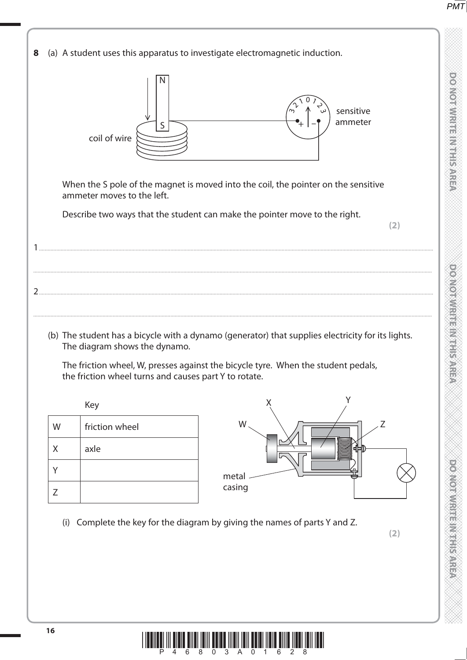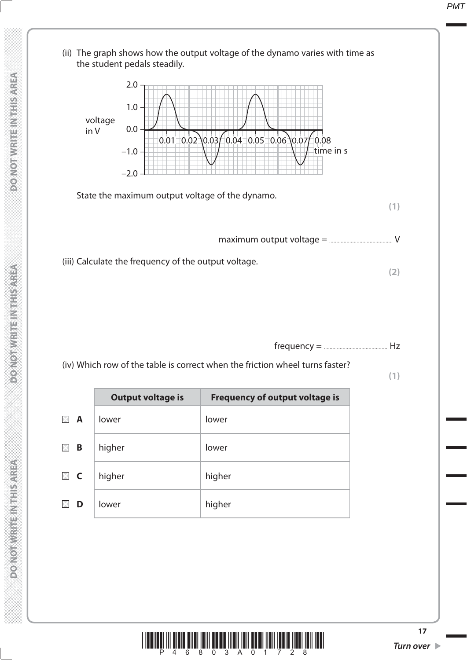

frequency = ............................................ Hz

(iv) Which row of the table is correct when the friction wheel turns faster?

**(1)**

|                          | <b>Output voltage is</b> | <b>Frequency of output voltage is</b> |
|--------------------------|--------------------------|---------------------------------------|
| $\mathsf{A}$<br>$\times$ | lower                    | lower                                 |
| B                        | higher                   | lower                                 |
| $\boxtimes$ C            | higher                   | higher                                |
| D                        | lower                    | higher                                |

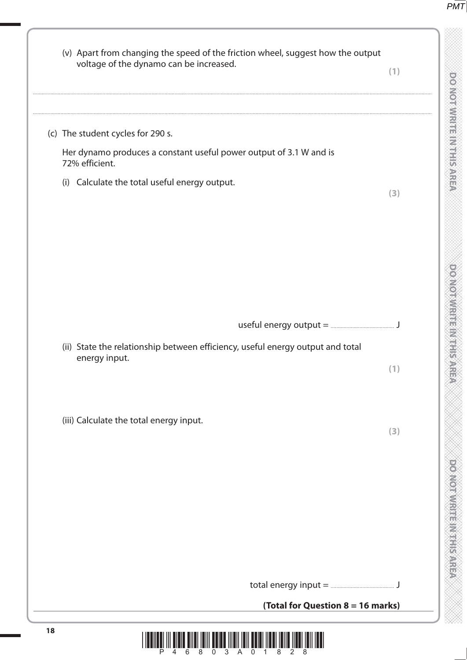**TO NOT WRITE IN THE IN THIS AREA DO NOT WRITE IN THIS AREA DO NOT WRITE IN THIS AREA DO NOT WRITE IN THIS AREA DO NOT WRITE IN THE INTERNATIONAL CONTINUES. THE INTERNATIONAL CONTINUES IN THE INTERNATIONAL CONTINUES.** 

DOMOTIVE EIN SIEN AREA 

**DO NOT WRITE IN THIS AREA** 

e de la composición de la composición de la composición de la composición de la composición de la composición<br>La composición de la composición de la composición de la composición de la composición de la composición de la

| (v) Apart from changing the speed of the friction wheel, suggest how the output<br>voltage of the dynamo can be increased. | (1) |
|----------------------------------------------------------------------------------------------------------------------------|-----|
| (c) The student cycles for 290 s.                                                                                          |     |
| Her dynamo produces a constant useful power output of 3.1 W and is<br>72% efficient.                                       |     |
| (i) Calculate the total useful energy output.                                                                              | (3) |
|                                                                                                                            |     |
|                                                                                                                            |     |
|                                                                                                                            |     |
| (ii) State the relationship between efficiency, useful energy output and total<br>energy input.                            | (1) |
| (iii) Calculate the total energy input.                                                                                    | (3) |
|                                                                                                                            |     |
|                                                                                                                            |     |
|                                                                                                                            |     |
|                                                                                                                            |     |
| (Total for Question 8 = 16 marks)                                                                                          |     |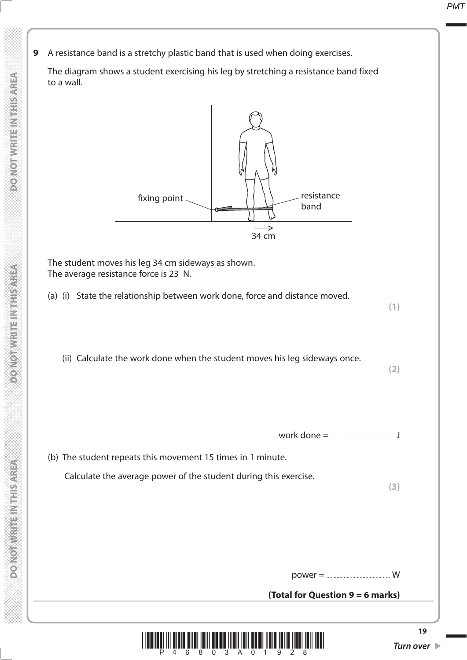**9** A resistance band is a stretchy plastic band that is used when doing exercises.

 The diagram shows a student exercising his leg by stretching a resistance band fixed to a wall.



 The student moves his leg 34 cm sideways as shown. The average resistance force is 23 N.

(a) (i) State the relationship between work done, force and distance moved.

**(1)**

(ii) Calculate the work done when the student moves his leg sideways once.

**(2)**

work done = ............................................ J

 (b) The student repeats this movement 15 times in 1 minute. Calculate the average power of the student during this exercise.

**(3)**

power = ............................................ W

**(Total for Question 9 = 6 marks)**

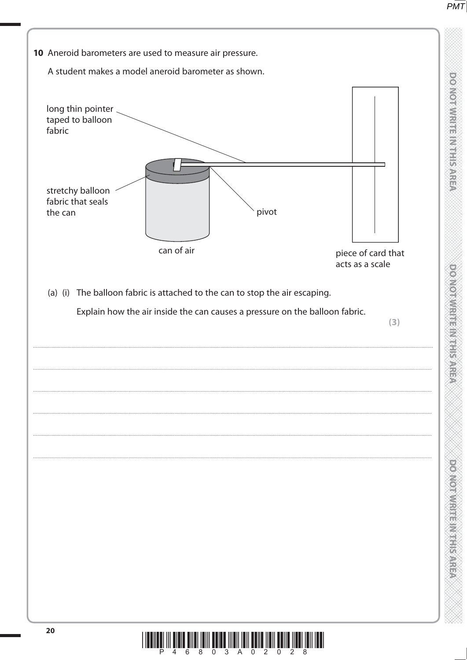

DO NOT WRITE IN THIS AREA

**DO NOT WRITE IN THIS AREA** 

**PONDIAN REINTERNESSARE** 

LÀ III TILLË TILLË BILLË TILLË TILLË TILLË TILLË TILLË TILLË TILLË TILLË TILLË TILLË TILLË TILLË TILLË TILLË T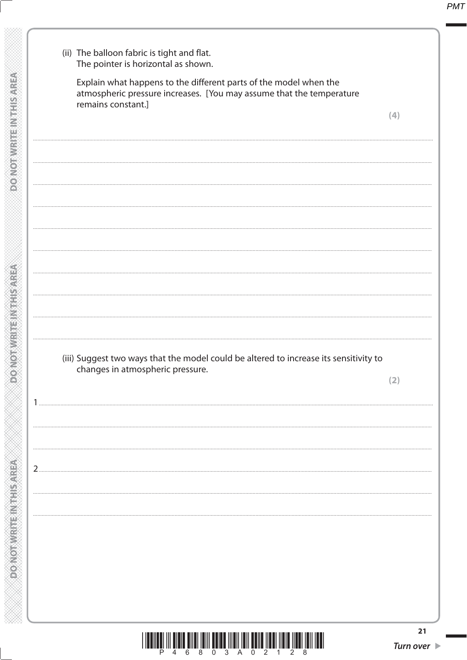| (ii) The balloon fabric is tight and flat.<br>The pointer is horizontal as shown.                                                                               |                                       |
|-----------------------------------------------------------------------------------------------------------------------------------------------------------------|---------------------------------------|
| Explain what happens to the different parts of the model when the<br>atmospheric pressure increases. [You may assume that the temperature<br>remains constant.] |                                       |
|                                                                                                                                                                 | (4)                                   |
|                                                                                                                                                                 |                                       |
|                                                                                                                                                                 |                                       |
|                                                                                                                                                                 |                                       |
|                                                                                                                                                                 |                                       |
|                                                                                                                                                                 |                                       |
|                                                                                                                                                                 |                                       |
|                                                                                                                                                                 |                                       |
|                                                                                                                                                                 |                                       |
| (iii) Suggest two ways that the model could be altered to increase its sensitivity to<br>changes in atmospheric pressure.                                       | [2]                                   |
|                                                                                                                                                                 |                                       |
|                                                                                                                                                                 |                                       |
|                                                                                                                                                                 |                                       |
| $2_{\cdot}$                                                                                                                                                     |                                       |
|                                                                                                                                                                 |                                       |
|                                                                                                                                                                 |                                       |
|                                                                                                                                                                 |                                       |
|                                                                                                                                                                 |                                       |
|                                                                                                                                                                 |                                       |
| <u> I III ALI III ALI ANTI LIII ALI ANTI III ANTI LIII ANTI III ANTI III ANTI III ANTI III ANTI III ANTI III ANTI</u>                                           | 21<br>Turn over $\blacktriangleright$ |

**DONOT WRITE INTHIS AREA**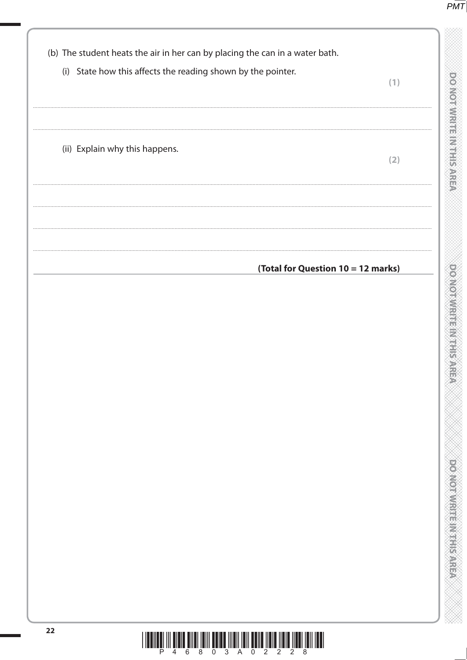

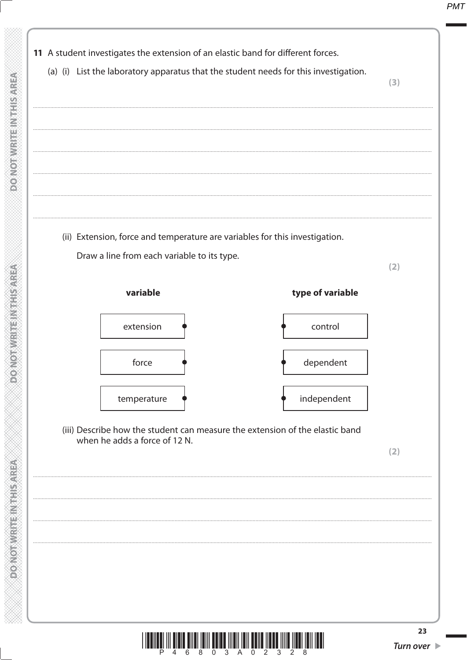

ilan <sup>8</sup>ilai <sup>8</sup>ilin 8an <sup>3</sup>ilai 7ian 8an <sup>5</sup>ian <sup>3</sup>ilin <sup>5</sup>i

**DO NOT WRITE INTHIS AREA** 

**MONORANGER MANAGER** 

**ASSASS MANISTER AND CONFOR**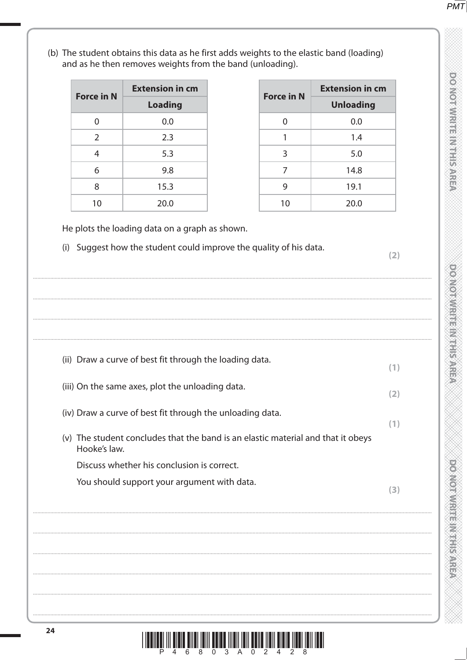(b) The student obtains this data as he first adds weights to the elastic band (loading) and as he then removes weights from the band (unloading). **Extension in cm Extension in cm Force in N Force in N Loading Unloading**  $\Omega$  $0.0$  $\Omega$  $0.0$  $\overline{2}$  $2.3$  $\mathbf{1}$  $1.4$  $5.3$  $5.0$  $\overline{4}$  $\overline{3}$ 9.8  $\overline{7}$ 14.8 6  $15.3$  $\mathsf{q}$  $19.1$  $\mathsf{R}$  $10$  $20.0$  $10$  $20.0$ He plots the loading data on a graph as shown. (i) Suggest how the student could improve the quality of his data.  $(2)$ (ii) Draw a curve of best fit through the loading data.  $(1)$ (iii) On the same axes, plot the unloading data.  $(2)$ (iv) Draw a curve of best fit through the unloading data.  $(1)$ (v) The student concludes that the band is an elastic material and that it obeys Hooke's law. Discuss whether his conclusion is correct. You should support your argument with data.  $(3)$  **PMT** 

**DO NOTAWARE IN THE SARRE** 

**DOMORATION IS IN THE STATE** 

**DONOMARY PRESERVE** 



24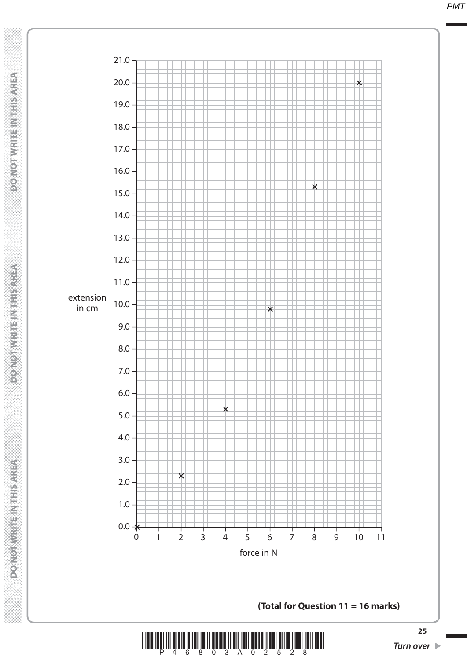**DO NOT WRITE IN THIS AREA DO NOT WRITE IN THIS AREA DO NOT WRITE IN THIS AREA DO NOT WRITE IN THIS AREA DO NOT WRITE IN THIS AREA DO NOT WRITE IN THIS AREA DO NOT WRITE IN THE INTERNATION IN THIS AREA DO NOT WRITE IN THE DONOT WRITE INTHISTAREA** 

**DONOTWRITEINTHISMREA** 



**(Total for Question 11 = 16 marks)**

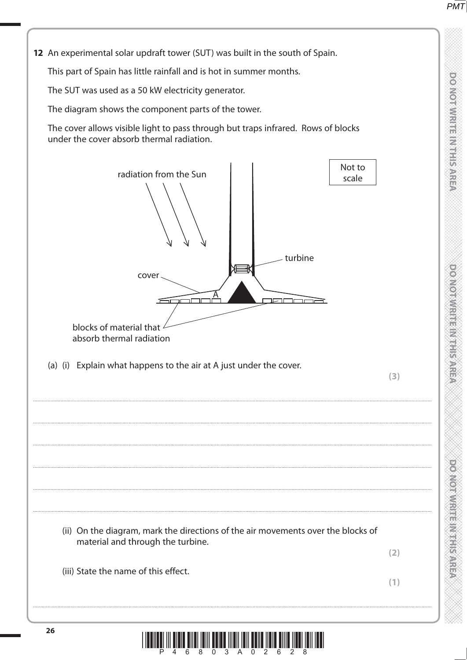**DOMORATION** SERVES IS NOT

**PONDANT PROPERTY REPAIR** 

12 An experimental solar updraft tower (SUT) was built in the south of Spain.

This part of Spain has little rainfall and is hot in summer months.

The SUT was used as a 50 kW electricity generator.

The diagram shows the component parts of the tower.

The cover allows visible light to pass through but traps infrared. Rows of blocks under the cover absorb thermal radiation.



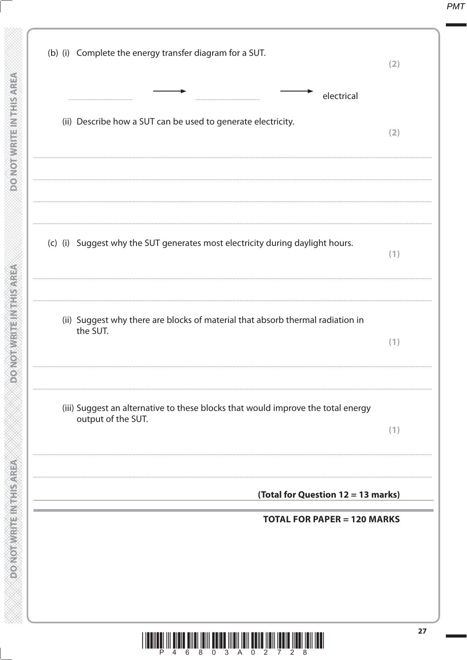| (b) (i) Complete the energy transfer diagram for a SUT.                                                | (2) |
|--------------------------------------------------------------------------------------------------------|-----|
| electrical<br>(ii) Describe how a SUT can be used to generate electricity.                             | (2) |
| (c) (i) Suggest why the SUT generates most electricity during daylight hours.                          | (1) |
| (ii) Suggest why there are blocks of material that absorb thermal radiation in<br>the SUT.             | (1) |
| (iii) Suggest an alternative to these blocks that would improve the total energy<br>output of the SUT. | (1) |
| (Total for Question 12 = 13 marks)<br><b>TOTAL FOR PAPER = 120 MARKS</b>                               |     |
|                                                                                                        |     |